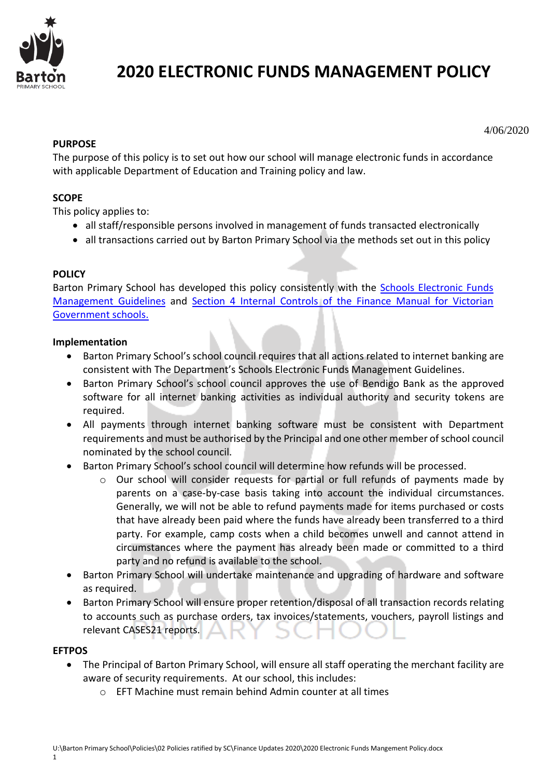

# **2020 ELECTRONIC FUNDS MANAGEMENT POLICY**

#### 4/06/2020

## **PURPOSE**

The purpose of this policy is to set out how our school will manage electronic funds in accordance with applicable Department of Education and Training policy and law.

# **SCOPE**

This policy applies to:

- all staff/responsible persons involved in management of funds transacted electronically
- all transactions carried out by Barton Primary School via the methods set out in this policy

## **POLICY**

Barton Primary School has developed this policy consistently with the Schools Electronic Funds [Management Guidelines](http://www.education.vic.gov.au/Documents/school/principals/finance/Fin%20Schools%20Electronic%20Funds%20Management%20Guidelines%20V1_2.pdf) and [Section 4 Internal Controls](http://www.education.vic.gov.au/Documents/school/teachers/management/fmvgssection4.pdf) of the Finance Manual for Victorian Government schools.

## **Implementation**

- Barton Primary School's school council requires that all actions related to internet banking are consistent with The Department's [Schools Electronic Funds Management Guidelines.](http://www.education.vic.gov.au/Documents/school/principals/finance/Fin%20Schools%20Electronic%20Funds%20Management%20Guidelines%20V1_2.pdf)
- Barton Primary School's school council approves the use of Bendigo Bank as the approved software for all internet banking activities as individual authority and security tokens are required.
- All payments through internet banking software must be consistent with Department requirements and must be authorised by the Principal and one other member of school council nominated by the school council.
- Barton Primary School's school council will determine how refunds will be processed.
	- $\circ$  Our school will consider requests for partial or full refunds of payments made by parents on a case-by-case basis taking into account the individual circumstances. Generally, we will not be able to refund payments made for items purchased or costs that have already been paid where the funds have already been transferred to a third party. For example, camp costs when a child becomes unwell and cannot attend in circumstances where the payment has already been made or committed to a third party and no refund is available to the school.
- Barton Primary School will undertake maintenance and upgrading of hardware and software as required.
- Barton Primary School will ensure proper retention/disposal of all transaction records relating to accounts such as purchase orders, tax invoices/statements, vouchers, payroll listings and relevant CASES21 reports.

## **EFTPOS**

- The Principal of Barton Primary School, will ensure all staff operating the merchant facility are aware of security requirements. At our school, this includes:
	- o EFT Machine must remain behind Admin counter at all times

1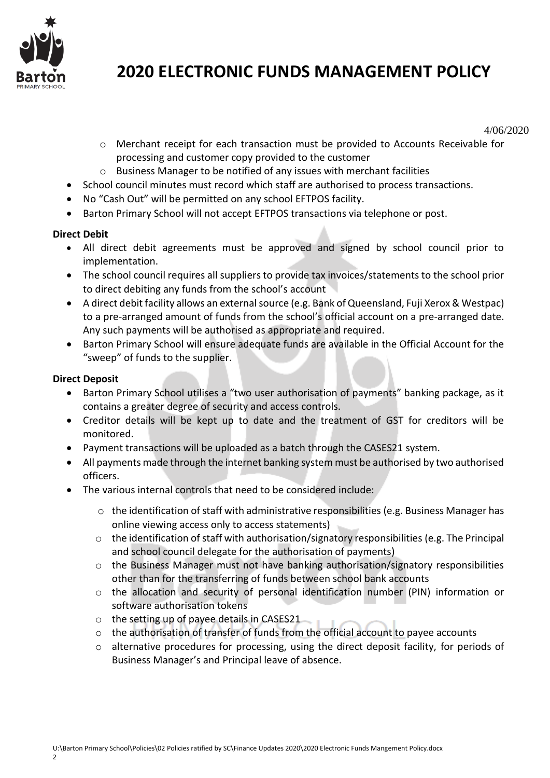

# **2020 ELECTRONIC FUNDS MANAGEMENT POLICY**

4/06/2020

- o Merchant receipt for each transaction must be provided to Accounts Receivable for processing and customer copy provided to the customer
- $\circ$  Business Manager to be notified of any issues with merchant facilities
- School council minutes must record which staff are authorised to process transactions.
- No "Cash Out" will be permitted on any school EFTPOS facility.
- Barton Primary School will not accept EFTPOS transactions via telephone or post.

# **Direct Debit**

- All direct debit agreements must be approved and signed by school council prior to implementation.
- The school council requires all suppliers to provide tax invoices/statements to the school prior to direct debiting any funds from the school's account
- A direct debit facility allows an external source (e.g. Bank of Queensland, Fuji Xerox & Westpac) to a pre-arranged amount of funds from the school's official account on a pre-arranged date. Any such payments will be authorised as appropriate and required.
- Barton Primary School will ensure adequate funds are available in the Official Account for the "sweep" of funds to the supplier.

# **Direct Deposit**

- Barton Primary School utilises a "two user authorisation of payments" banking package, as it contains a greater degree of security and access controls.
- Creditor details will be kept up to date and the treatment of GST for creditors will be monitored.
- Payment transactions will be uploaded as a batch through the CASES21 system.
- All payments made through the internet banking system must be authorised by two authorised officers.
- The various internal controls that need to be considered include:
	- $\circ$  the identification of staff with administrative responsibilities (e.g. Business Manager has online viewing access only to access statements)
	- o the identification of staff with authorisation/signatory responsibilities (e.g. The Principal and school council delegate for the authorisation of payments)
	- o the Business Manager must not have banking authorisation/signatory responsibilities other than for the transferring of funds between school bank accounts
	- $\circ$  the allocation and security of personal identification number (PIN) information or software authorisation tokens
	- o the setting up of payee details in CASES21
	- $\circ$  the authorisation of transfer of funds from the official account to payee accounts
	- o alternative procedures for processing, using the direct deposit facility, for periods of Business Manager's and Principal leave of absence.